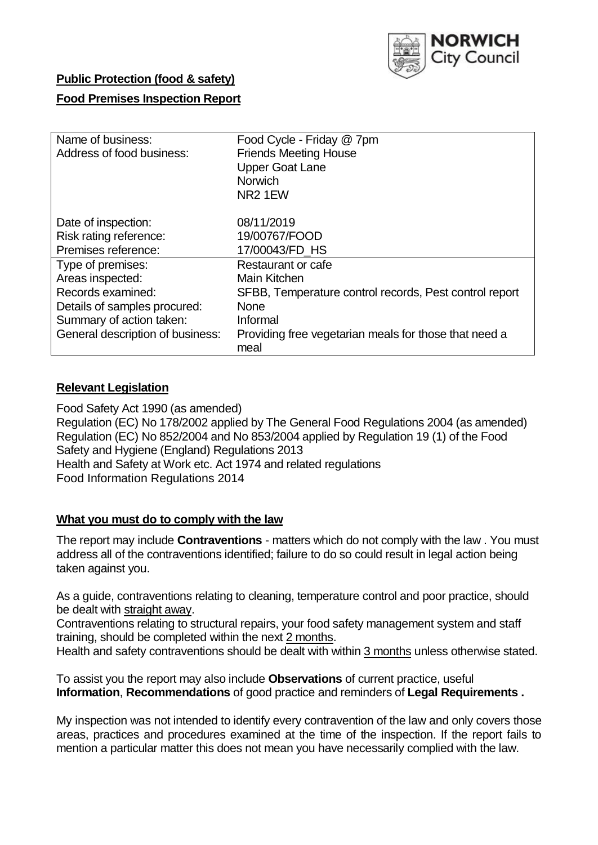

## **Public Protection (food & safety)**

### **Food Premises Inspection Report**

| Name of business:<br>Address of food business: | Food Cycle - Friday @ 7pm<br><b>Friends Meeting House</b><br><b>Upper Goat Lane</b><br><b>Norwich</b><br>NR <sub>2</sub> 1EW |
|------------------------------------------------|------------------------------------------------------------------------------------------------------------------------------|
| Date of inspection:<br>Risk rating reference:  | 08/11/2019<br>19/00767/FOOD                                                                                                  |
| Premises reference:                            | 17/00043/FD HS                                                                                                               |
| Type of premises:                              | Restaurant or cafe                                                                                                           |
| Areas inspected:                               | Main Kitchen                                                                                                                 |
| Records examined:                              | SFBB, Temperature control records, Pest control report                                                                       |
| Details of samples procured:                   | <b>None</b>                                                                                                                  |
| Summary of action taken:                       | Informal                                                                                                                     |
| General description of business:               | Providing free vegetarian meals for those that need a<br>meal                                                                |

#### **Relevant Legislation**

Food Safety Act 1990 (as amended) Regulation (EC) No 178/2002 applied by The General Food Regulations 2004 (as amended) Regulation (EC) No 852/2004 and No 853/2004 applied by Regulation 19 (1) of the Food Safety and Hygiene (England) Regulations 2013 Health and Safety at Work etc. Act 1974 and related regulations Food Information Regulations 2014

### **What you must do to comply with the law**

The report may include **Contraventions** - matters which do not comply with the law . You must address all of the contraventions identified; failure to do so could result in legal action being taken against you.

As a guide, contraventions relating to cleaning, temperature control and poor practice, should be dealt with straight away.

Contraventions relating to structural repairs, your food safety management system and staff training, should be completed within the next 2 months.

Health and safety contraventions should be dealt with within 3 months unless otherwise stated.

To assist you the report may also include **Observations** of current practice, useful **Information**, **Recommendations** of good practice and reminders of **Legal Requirements .**

My inspection was not intended to identify every contravention of the law and only covers those areas, practices and procedures examined at the time of the inspection. If the report fails to mention a particular matter this does not mean you have necessarily complied with the law.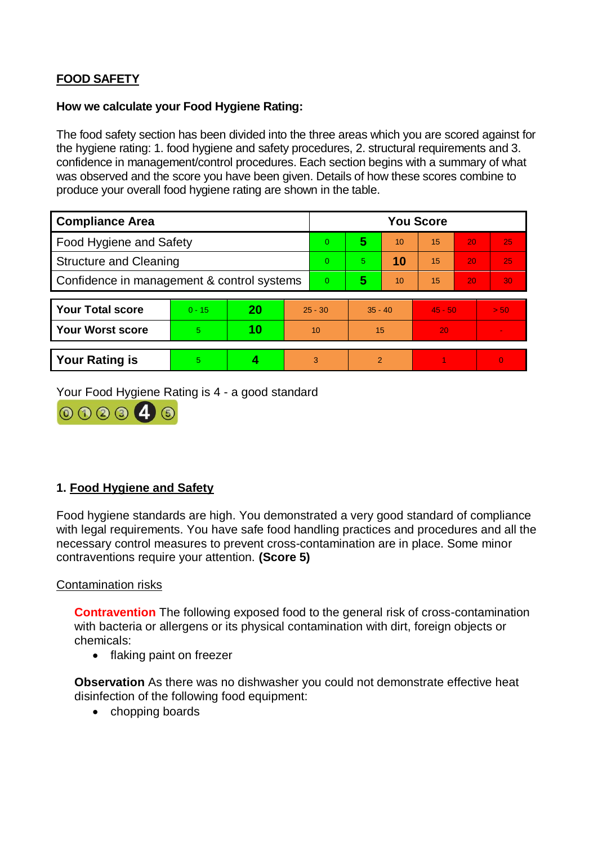# **FOOD SAFETY**

#### **How we calculate your Food Hygiene Rating:**

The food safety section has been divided into the three areas which you are scored against for the hygiene rating: 1. food hygiene and safety procedures, 2. structural requirements and 3. confidence in management/control procedures. Each section begins with a summary of what was observed and the score you have been given. Details of how these scores combine to produce your overall food hygiene rating are shown in the table.

| <b>Compliance Area</b>                     |          |    |           | <b>You Score</b> |                |    |           |    |          |  |  |
|--------------------------------------------|----------|----|-----------|------------------|----------------|----|-----------|----|----------|--|--|
| Food Hygiene and Safety                    |          |    |           | $\overline{0}$   | 5              | 10 | 15        | 20 | 25       |  |  |
| <b>Structure and Cleaning</b>              |          |    | $\Omega$  | 5                | 10             | 15 | 20        | 25 |          |  |  |
| Confidence in management & control systems |          |    | $\Omega$  | 5                | 10             | 15 | 20        | 30 |          |  |  |
|                                            |          |    |           |                  |                |    |           |    |          |  |  |
| <b>Your Total score</b>                    | $0 - 15$ | 20 | $25 - 30$ |                  | $35 - 40$      |    | $45 - 50$ |    | > 50     |  |  |
| <b>Your Worst score</b>                    | 5        | 10 | 10        |                  | 15             |    | 20        |    |          |  |  |
|                                            |          |    |           |                  |                |    |           |    |          |  |  |
| <b>Your Rating is</b>                      | 5        |    |           | 3                | $\overline{2}$ |    |           |    | $\Omega$ |  |  |

Your Food Hygiene Rating is 4 - a good standard



# **1. Food Hygiene and Safety**

Food hygiene standards are high. You demonstrated a very good standard of compliance with legal requirements. You have safe food handling practices and procedures and all the necessary control measures to prevent cross-contamination are in place. Some minor contraventions require your attention. **(Score 5)**

### Contamination risks

**Contravention** The following exposed food to the general risk of cross-contamination with bacteria or allergens or its physical contamination with dirt, foreign objects or chemicals:

• flaking paint on freezer

**Observation** As there was no dishwasher you could not demonstrate effective heat disinfection of the following food equipment:

• chopping boards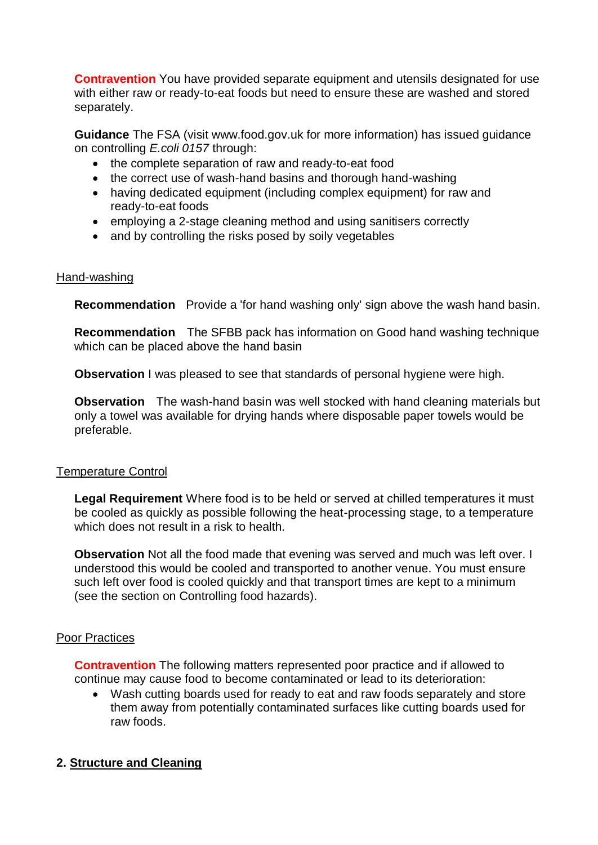**Contravention** You have provided separate equipment and utensils designated for use with either raw or ready-to-eat foods but need to ensure these are washed and stored separately.

**Guidance** The FSA (visit www.food.gov.uk for more information) has issued guidance on controlling *E.coli 0157* through:

- the complete separation of raw and ready-to-eat food
- the correct use of wash-hand basins and thorough hand-washing
- having dedicated equipment (including complex equipment) for raw and ready-to-eat foods
- employing a 2-stage cleaning method and using sanitisers correctly
- and by controlling the risks posed by soily vegetables

### Hand-washing

**Recommendation** Provide a 'for hand washing only' sign above the wash hand basin.

**Recommendation** The SFBB pack has information on Good hand washing technique which can be placed above the hand basin

**Observation** I was pleased to see that standards of personal hygiene were high.

**Observation** The wash-hand basin was well stocked with hand cleaning materials but only a towel was available for drying hands where disposable paper towels would be preferable.

### Temperature Control

**Legal Requirement** Where food is to be held or served at chilled temperatures it must be cooled as quickly as possible following the heat-processing stage, to a temperature which does not result in a risk to health.

**Observation** Not all the food made that evening was served and much was left over. I understood this would be cooled and transported to another venue. You must ensure such left over food is cooled quickly and that transport times are kept to a minimum (see the section on Controlling food hazards).

### Poor Practices

**Contravention** The following matters represented poor practice and if allowed to continue may cause food to become contaminated or lead to its deterioration:

 Wash cutting boards used for ready to eat and raw foods separately and store them away from potentially contaminated surfaces like cutting boards used for raw foods.

# **2. Structure and Cleaning**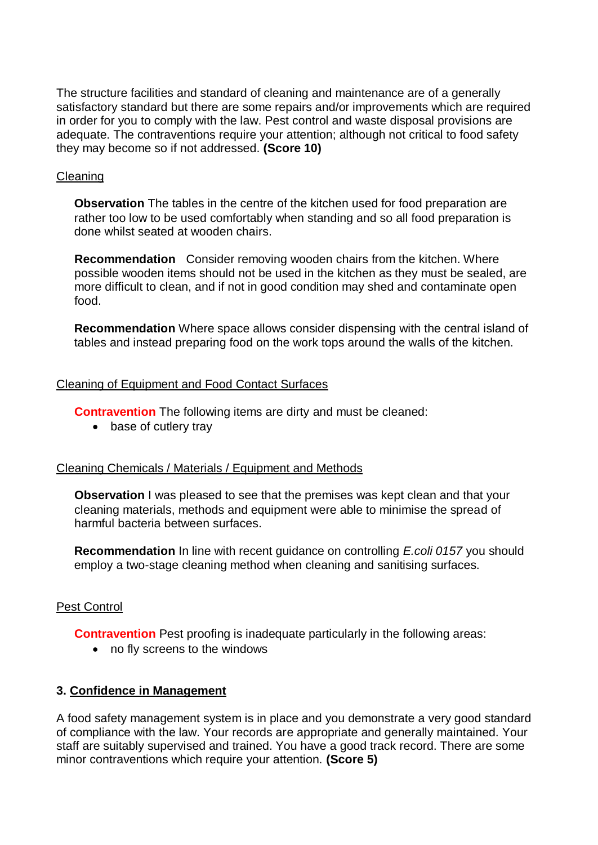The structure facilities and standard of cleaning and maintenance are of a generally satisfactory standard but there are some repairs and/or improvements which are required in order for you to comply with the law. Pest control and waste disposal provisions are adequate. The contraventions require your attention; although not critical to food safety they may become so if not addressed. **(Score 10)**

## Cleaning

**Observation** The tables in the centre of the kitchen used for food preparation are rather too low to be used comfortably when standing and so all food preparation is done whilst seated at wooden chairs.

**Recommendation** Consider removing wooden chairs from the kitchen. Where possible wooden items should not be used in the kitchen as they must be sealed, are more difficult to clean, and if not in good condition may shed and contaminate open food.

**Recommendation** Where space allows consider dispensing with the central island of tables and instead preparing food on the work tops around the walls of the kitchen.

## Cleaning of Equipment and Food Contact Surfaces

**Contravention** The following items are dirty and must be cleaned:

• base of cutlery tray

### Cleaning Chemicals / Materials / Equipment and Methods

**Observation** I was pleased to see that the premises was kept clean and that your cleaning materials, methods and equipment were able to minimise the spread of harmful bacteria between surfaces.

**Recommendation** In line with recent guidance on controlling *E.coli 0157* you should employ a two-stage cleaning method when cleaning and sanitising surfaces.

# Pest Control

**Contravention** Pest proofing is inadequate particularly in the following areas:

no fly screens to the windows

# **3. Confidence in Management**

A food safety management system is in place and you demonstrate a very good standard of compliance with the law. Your records are appropriate and generally maintained. Your staff are suitably supervised and trained. You have a good track record. There are some minor contraventions which require your attention. **(Score 5)**